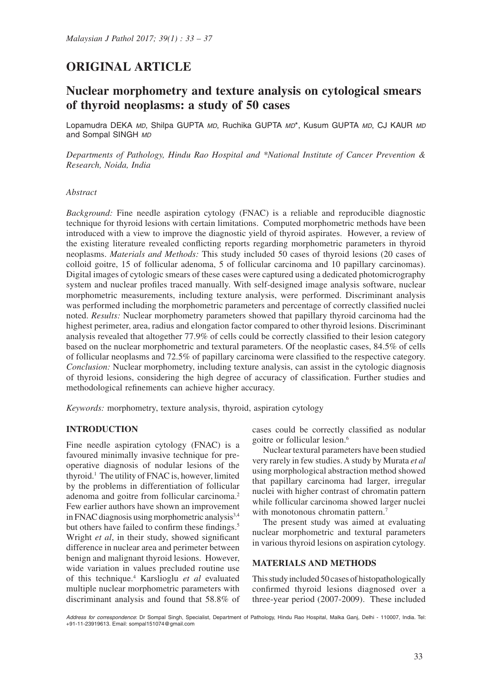# **ORIGINAL ARTICLE**

## **Nuclear morphometry and texture analysis on cytological smears of thyroid neoplasms: a study of 50 cases**

Lopamudra DEKA *MD*, Shilpa GUPTA *MD*, Ruchika GUPTA *MD*\*, Kusum GUPTA *MD*, CJ KAUR *MD* and Sompal SINGH *MD*

*Departments of Pathology, Hindu Rao Hospital and \*National Institute of Cancer Prevention & Research, Noida, India*

#### *Abstract*

*Background:* Fine needle aspiration cytology (FNAC) is a reliable and reproducible diagnostic technique for thyroid lesions with certain limitations. Computed morphometric methods have been introduced with a view to improve the diagnostic yield of thyroid aspirates. However, a review of the existing literature revealed conflicting reports regarding morphometric parameters in thyroid neoplasms. *Materials and Methods:* This study included 50 cases of thyroid lesions (20 cases of colloid goitre, 15 of follicular adenoma, 5 of follicular carcinoma and 10 papillary carcinomas). Digital images of cytologic smears of these cases were captured using a dedicated photomicrography system and nuclear profiles traced manually. With self-designed image analysis software, nuclear morphometric measurements, including texture analysis, were performed. Discriminant analysis was performed including the morphometric parameters and percentage of correctly classified nuclei noted. *Results:* Nuclear morphometry parameters showed that papillary thyroid carcinoma had the highest perimeter, area, radius and elongation factor compared to other thyroid lesions. Discriminant analysis revealed that altogether 77.9% of cells could be correctly classified to their lesion category based on the nuclear morphometric and textural parameters. Of the neoplastic cases, 84.5% of cells of follicular neoplasms and 72.5% of papillary carcinoma were classified to the respective category. *Conclusion:* Nuclear morphometry, including texture analysis, can assist in the cytologic diagnosis of thyroid lesions, considering the high degree of accuracy of classification. Further studies and methodological refinements can achieve higher accuracy.

*Keywords:* morphometry, texture analysis, thyroid, aspiration cytology

#### **INTRODUCTION**

Fine needle aspiration cytology (FNAC) is a favoured minimally invasive technique for preoperative diagnosis of nodular lesions of the thyroid.1 The utility of FNAC is, however, limited by the problems in differentiation of follicular adenoma and goitre from follicular carcinoma.2 Few earlier authors have shown an improvement in FNAC diagnosis using morphometric analysis<sup>3,4</sup> but others have failed to confirm these findings.<sup>5</sup> Wright *et al*, in their study, showed significant difference in nuclear area and perimeter between benign and malignant thyroid lesions. However, wide variation in values precluded routine use of this technique.4 Karslioglu *et al* evaluated multiple nuclear morphometric parameters with discriminant analysis and found that 58.8% of cases could be correctly classified as nodular goitre or follicular lesion.6

Nuclear textural parameters have been studied very rarely in few studies. A study by Murata *et al* using morphological abstraction method showed that papillary carcinoma had larger, irregular nuclei with higher contrast of chromatin pattern while follicular carcinoma showed larger nuclei with monotonous chromatin pattern.<sup>7</sup>

The present study was aimed at evaluating nuclear morphometric and textural parameters in various thyroid lesions on aspiration cytology.

#### **MATERIALS AND METHODS**

This study included 50 cases of histopathologically confirmed thyroid lesions diagnosed over a three-year period (2007-2009). These included

*Address for correspondence*: Dr Sompal Singh, Specialist, Department of Pathology, Hindu Rao Hospital, Malka Ganj, Delhi - 110007, India. Tel: +91-11-23919613. Email: sompal151074@gmail.com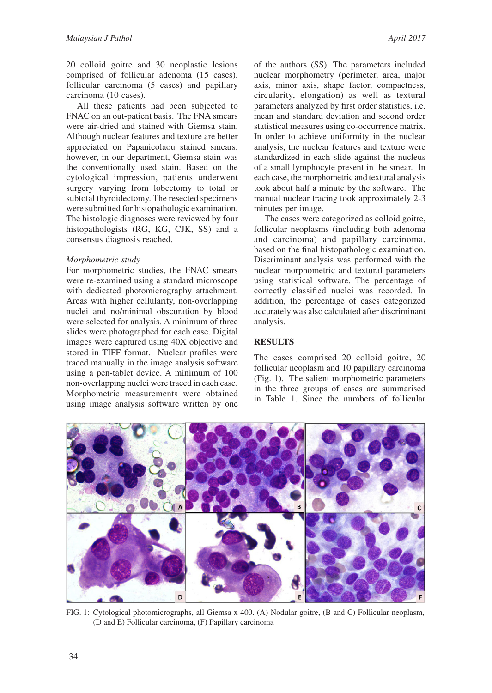20 colloid goitre and 30 neoplastic lesions comprised of follicular adenoma (15 cases), follicular carcinoma (5 cases) and papillary carcinoma (10 cases).

All these patients had been subjected to FNAC on an out-patient basis. The FNA smears were air-dried and stained with Giemsa stain. Although nuclear features and texture are better appreciated on Papanicolaou stained smears, however, in our department, Giemsa stain was the conventionally used stain. Based on the cytological impression, patients underwent surgery varying from lobectomy to total or subtotal thyroidectomy. The resected specimens were submitted for histopathologic examination. The histologic diagnoses were reviewed by four histopathologists (RG, KG, CJK, SS) and a consensus diagnosis reached.

#### *Morphometric study*

For morphometric studies, the FNAC smears were re-examined using a standard microscope with dedicated photomicrography attachment. Areas with higher cellularity, non-overlapping nuclei and no/minimal obscuration by blood were selected for analysis. A minimum of three slides were photographed for each case. Digital images were captured using 40X objective and stored in TIFF format. Nuclear profiles were traced manually in the image analysis software using a pen-tablet device. A minimum of 100 non-overlapping nuclei were traced in each case. Morphometric measurements were obtained using image analysis software written by one

of the authors (SS). The parameters included nuclear morphometry (perimeter, area, major axis, minor axis, shape factor, compactness, circularity, elongation) as well as textural parameters analyzed by first order statistics, i.e. mean and standard deviation and second order statistical measures using co-occurrence matrix. In order to achieve uniformity in the nuclear analysis, the nuclear features and texture were standardized in each slide against the nucleus of a small lymphocyte present in the smear. In each case, the morphometric and textural analysis took about half a minute by the software. The manual nuclear tracing took approximately 2-3 minutes per image.

The cases were categorized as colloid goitre, follicular neoplasms (including both adenoma and carcinoma) and papillary carcinoma, based on the final histopathologic examination. Discriminant analysis was performed with the nuclear morphometric and textural parameters using statistical software. The percentage of correctly classified nuclei was recorded. In addition, the percentage of cases categorized accurately was also calculated after discriminant analysis.

## **RESULTS**

The cases comprised 20 colloid goitre, 20 follicular neoplasm and 10 papillary carcinoma (Fig. 1). The salient morphometric parameters in the three groups of cases are summarised in Table 1. Since the numbers of follicular



FIG. 1: Cytological photomicrographs, all Giemsa x 400. (A) Nodular goitre, (B and C) Follicular neoplasm, (D and E) Follicular carcinoma, (F) Papillary carcinoma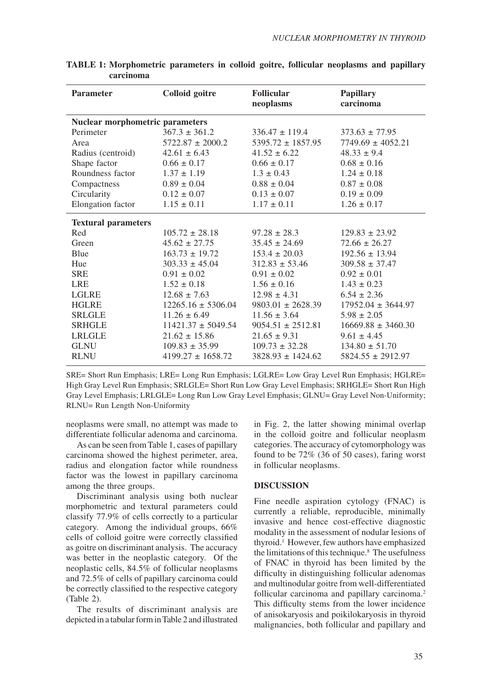| <b>Parameter</b>                       | <b>Colloid</b> goitre  | <b>Follicular</b><br>neoplasms | <b>Papillary</b><br>carcinoma |  |  |  |  |  |
|----------------------------------------|------------------------|--------------------------------|-------------------------------|--|--|--|--|--|
| <b>Nuclear morphometric parameters</b> |                        |                                |                               |  |  |  |  |  |
| Perimeter                              | $367.3 \pm 361.2$      | $336.47 \pm 119.4$             | $373.63 \pm 77.95$            |  |  |  |  |  |
| Area                                   | $5722.87 \pm 2000.2$   | $5395.72 \pm 1857.95$          | $7749.69 \pm 4052.21$         |  |  |  |  |  |
| Radius (centroid)                      | $42.61 \pm 6.43$       | $41.52 \pm 6.22$               | $48.33 \pm 9.4$               |  |  |  |  |  |
| Shape factor                           | $0.66 \pm 0.17$        | $0.66 \pm 0.17$                | $0.68 \pm 0.16$               |  |  |  |  |  |
| Roundness factor                       | $1.37 \pm 1.19$        | $1.3 \pm 0.43$                 | $1.24 \pm 0.18$               |  |  |  |  |  |
| Compactness                            | $0.89 \pm 0.04$        | $0.88 \pm 0.04$                | $0.87 \pm 0.08$               |  |  |  |  |  |
| Circularity                            | $0.12 \pm 0.07$        | $0.13 \pm 0.07$                | $0.19 \pm 0.09$               |  |  |  |  |  |
| Elongation factor                      | $1.15 \pm 0.11$        | $1.17 \pm 0.11$                | $1.26 \pm 0.17$               |  |  |  |  |  |
| <b>Textural parameters</b>             |                        |                                |                               |  |  |  |  |  |
| Red                                    | $105.72 \pm 28.18$     | $97.28 \pm 28.3$               | $129.83 \pm 23.92$            |  |  |  |  |  |
| Green                                  | $45.62 \pm 27.75$      | $35.45 \pm 24.69$              | $72.66 \pm 26.27$             |  |  |  |  |  |
| Blue                                   | $163.73 \pm 19.72$     | $153.4 \pm 20.03$              | $192.56 \pm 13.94$            |  |  |  |  |  |
| Hue                                    | $303.33 \pm 45.04$     | $312.83 \pm 53.46$             | $309.58 \pm 37.47$            |  |  |  |  |  |
| <b>SRE</b>                             | $0.91 \pm 0.02$        | $0.91 \pm 0.02$                | $0.92 \pm 0.01$               |  |  |  |  |  |
| <b>LRE</b>                             | $1.52 \pm 0.18$        | $1.56 \pm 0.16$                | $1.43 \pm 0.23$               |  |  |  |  |  |
| <b>LGLRE</b>                           | $12.68 \pm 7.63$       | $12.98 \pm 4.31$               | $6.54 \pm 2.36$               |  |  |  |  |  |
| <b>HGLRE</b>                           | $12265.16 \pm 5306.04$ | $9803.01 \pm 2628.39$          | $17952.04 \pm 3644.97$        |  |  |  |  |  |
| <b>SRLGLE</b>                          | $11.26 \pm 6.49$       | $11.56 \pm 3.64$               | $5.98 \pm 2.05$               |  |  |  |  |  |
| <b>SRHGLE</b>                          | $11421.37 \pm 5049.54$ | $9054.51 \pm 2512.81$          | $16669.88 \pm 3460.30$        |  |  |  |  |  |
| <b>LRLGLE</b>                          | $21.62 \pm 15.86$      | $21.65 \pm 9.31$               | $9.61 \pm 4.45$               |  |  |  |  |  |
| <b>GLNU</b>                            | $109.83 \pm 35.99$     | $109.73 \pm 32.28$             | $134.80 \pm 51.70$            |  |  |  |  |  |
| <b>RLNU</b>                            | $4199.27 \pm 1658.72$  | $3828.93 \pm 1424.62$          | $5824.55 \pm 2912.97$         |  |  |  |  |  |

**TABLE 1: Morphometric parameters in colloid goitre, follicular neoplasms and papillary carcinoma**

SRE= Short Run Emphasis; LRE= Long Run Emphasis; LGLRE= Low Gray Level Run Emphasis; HGLRE= High Gray Level Run Emphasis; SRLGLE= Short Run Low Gray Level Emphasis; SRHGLE= Short Run High Gray Level Emphasis; LRLGLE= Long Run Low Gray Level Emphasis; GLNU= Gray Level Non-Uniformity; RLNU= Run Length Non-Uniformity

neoplasms were small, no attempt was made to differentiate follicular adenoma and carcinoma.

As can be seen from Table 1, cases of papillary carcinoma showed the highest perimeter, area, radius and elongation factor while roundness factor was the lowest in papillary carcinoma among the three groups.

Discriminant analysis using both nuclear morphometric and textural parameters could classify 77.9% of cells correctly to a particular category. Among the individual groups, 66% cells of colloid goitre were correctly classified as goitre on discriminant analysis. The accuracy was better in the neoplastic category. Of the neoplastic cells, 84.5% of follicular neoplasms and 72.5% of cells of papillary carcinoma could be correctly classified to the respective category (Table 2).

The results of discriminant analysis are depicted in a tabular form in Table 2 and illustrated in Fig. 2, the latter showing minimal overlap in the colloid goitre and follicular neoplasm categories. The accuracy of cytomorphology was found to be 72% (36 of 50 cases), faring worst in follicular neoplasms.

## **DISCUSSION**

Fine needle aspiration cytology (FNAC) is currently a reliable, reproducible, minimally invasive and hence cost-effective diagnostic modality in the assessment of nodular lesions of thyroid.1 However, few authors have emphasized the limitations of this technique. $8$  The usefulness of FNAC in thyroid has been limited by the difficulty in distinguishing follicular adenomas and multinodular goitre from well-differentiated follicular carcinoma and papillary carcinoma.<sup>2</sup> This difficulty stems from the lower incidence of anisokaryosis and poikilokaryosis in thyroid malignancies, both follicular and papillary and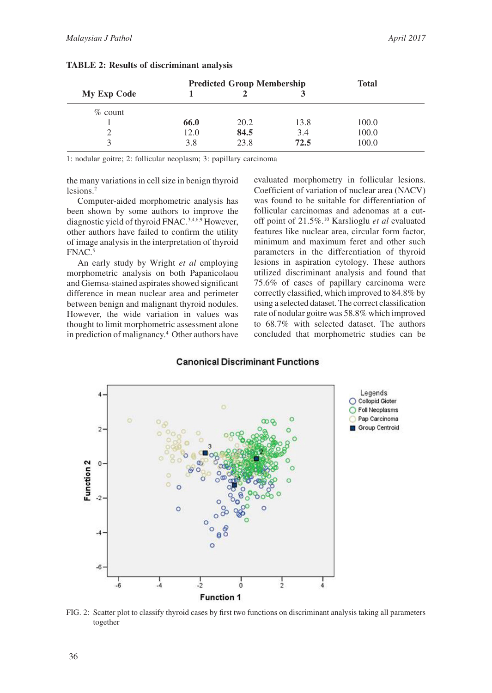|                    | <b>Predicted Group Membership</b> |      |      | <b>Total</b> |
|--------------------|-----------------------------------|------|------|--------------|
| <b>My Exp Code</b> |                                   |      |      |              |
| $\%$ count         |                                   |      |      |              |
|                    | 66.0                              | 20.2 | 13.8 | 100.0        |
|                    | 12.0                              | 84.5 | 3.4  | 100.0        |
| $\mathbf{\Omega}$  | 3.8                               | 23.8 | 72.5 | 100.0        |

**TABLE 2: Results of discriminant analysis**

1: nodular goitre; 2: follicular neoplasm; 3: papillary carcinoma

the many variations in cell size in benign thyroid lesions.2

Computer-aided morphometric analysis has been shown by some authors to improve the diagnostic yield of thyroid FNAC.3,4,6,9 However, other authors have failed to confirm the utility of image analysis in the interpretation of thyroid FNAC.5

An early study by Wright *et al* employing morphometric analysis on both Papanicolaou and Giemsa-stained aspirates showed significant difference in mean nuclear area and perimeter between benign and malignant thyroid nodules. However, the wide variation in values was thought to limit morphometric assessment alone in prediction of malignancy.4 Other authors have evaluated morphometry in follicular lesions. Coefficient of variation of nuclear area (NACV) was found to be suitable for differentiation of follicular carcinomas and adenomas at a cutoff point of 21.5%.10 Karslioglu *et al* evaluated features like nuclear area, circular form factor, minimum and maximum feret and other such parameters in the differentiation of thyroid lesions in aspiration cytology. These authors utilized discriminant analysis and found that 75.6% of cases of papillary carcinoma were correctly classified, which improved to 84.8% by using a selected dataset. The correct classification rate of nodular goitre was 58.8% which improved to 68.7% with selected dataset. The authors concluded that morphometric studies can be

#### **Canonical Discriminant Functions**



FIG. 2: Scatter plot to classify thyroid cases by first two functions on discriminant analysis taking all parameters together